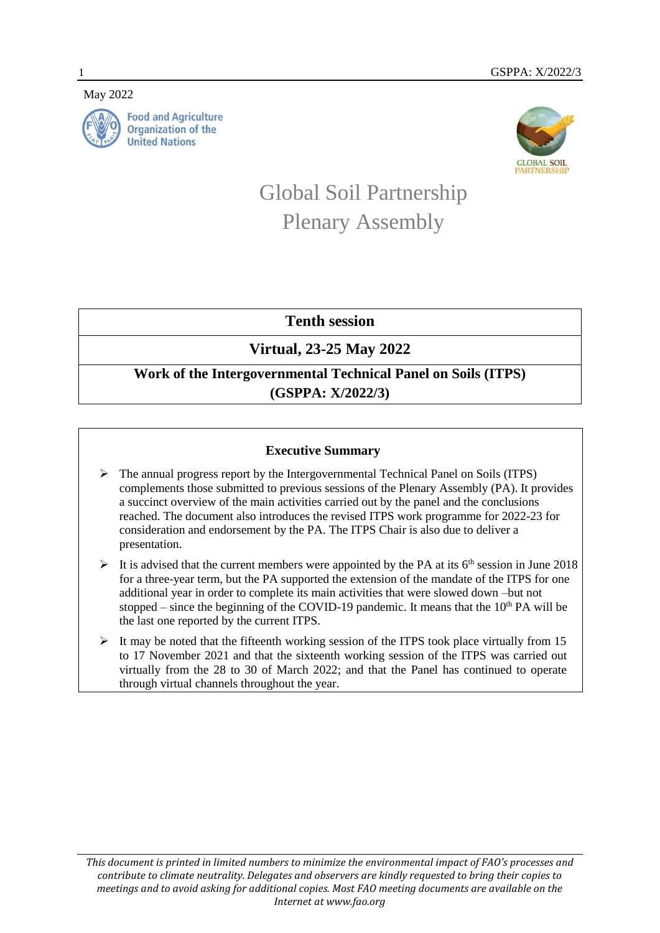May 2022



**Food and Agriculture Organization of the United Nations** 



# Global Soil Partnership Plenary Assembly

**Tenth session**

# **Virtual, 23-25 May 2022**

## **Work of the Intergovernmental Technical Panel on Soils (ITPS) (GSPPA: X/2022/3)**

### **Executive Summary**

- $\triangleright$  The annual progress report by the Intergovernmental Technical Panel on Soils (ITPS) complements those submitted to previous sessions of the Plenary Assembly (PA). It provides a succinct overview of the main activities carried out by the panel and the conclusions reached. The document also introduces the revised ITPS work programme for 2022-23 for consideration and endorsement by the PA. The ITPS Chair is also due to deliver a presentation.
- It is advised that the current members were appointed by the PA at its  $6<sup>th</sup>$  session in June 2018 for a three-year term, but the PA supported the extension of the mandate of the ITPS for one additional year in order to complete its main activities that were slowed down –but not stopped – since the beginning of the COVID-19 pandemic. It means that the  $10<sup>th</sup> PA$  will be the last one reported by the current ITPS.
- $\triangleright$  It may be noted that the fifteenth working session of the ITPS took place virtually from 15 to 17 November 2021 and that the sixteenth working session of the ITPS was carried out virtually from the 28 to 30 of March 2022; and that the Panel has continued to operate through virtual channels throughout the year.

*This document is printed in limited numbers to minimize the environmental impact of FAO's processes and contribute to climate neutrality. Delegates and observers are kindly requested to bring their copies to meetings and to avoid asking for additional copies. Most FAO meeting documents are available on the Internet at www.fao.org*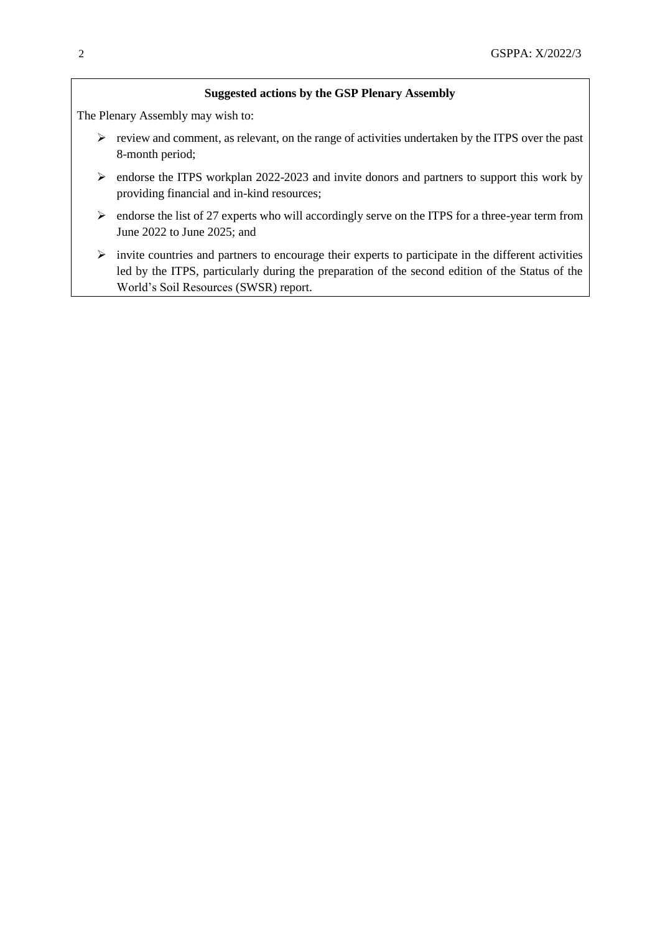#### **Suggested actions by the GSP Plenary Assembly**

The Plenary Assembly may wish to:

- $\triangleright$  review and comment, as relevant, on the range of activities undertaken by the ITPS over the past 8-month period;
- $\triangleright$  endorse the ITPS workplan 2022-2023 and invite donors and partners to support this work by providing financial and in-kind resources;
- $\triangleright$  endorse the list of 27 experts who will accordingly serve on the ITPS for a three-year term from June 2022 to June 2025; and
- $\triangleright$  invite countries and partners to encourage their experts to participate in the different activities led by the ITPS, particularly during the preparation of the second edition of the Status of the World's Soil Resources (SWSR) report.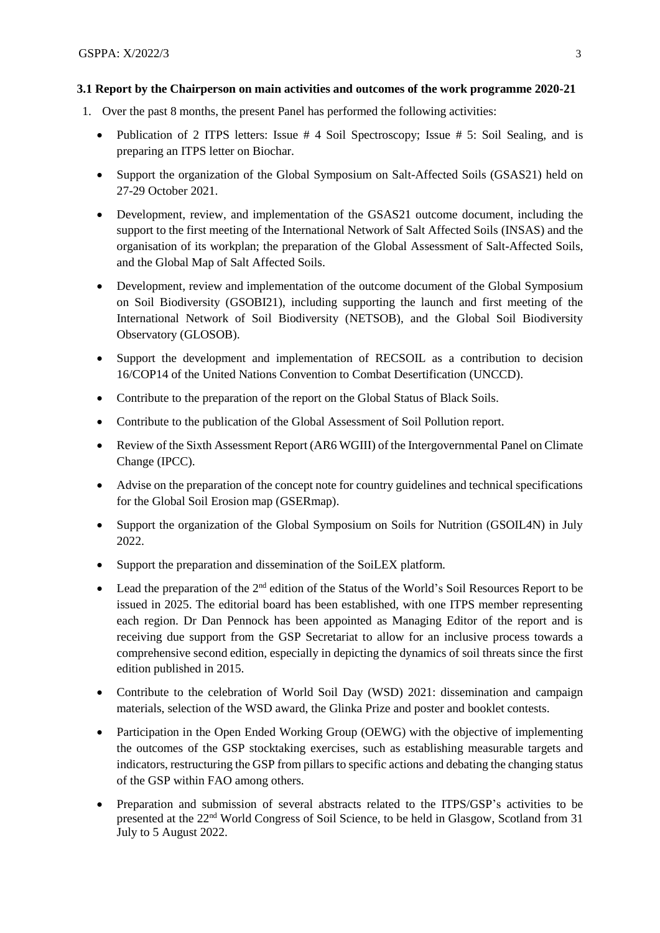#### **3.1 Report by the Chairperson on main activities and outcomes of the work programme 2020-21**

- 1. Over the past 8 months, the present Panel has performed the following activities:
	- Publication of 2 ITPS letters: Issue # 4 Soil Spectroscopy; Issue # 5: Soil Sealing, and is preparing an ITPS letter on Biochar.
	- Support the organization of the Global Symposium on Salt-Affected Soils (GSAS21) held on 27-29 October 2021.
	- Development, review, and implementation of the GSAS21 outcome document, including the support to the first meeting of the International Network of Salt Affected Soils (INSAS) and the organisation of its workplan; the preparation of the Global Assessment of Salt-Affected Soils, and the Global Map of Salt Affected Soils.
	- Development, review and implementation of the outcome document of the Global Symposium on Soil Biodiversity (GSOBI21), including supporting the launch and first meeting of the International Network of Soil Biodiversity (NETSOB), and the Global Soil Biodiversity Observatory (GLOSOB).
	- Support the development and implementation of RECSOIL as a contribution to decision 16/COP14 of the United Nations Convention to Combat Desertification (UNCCD).
	- Contribute to the preparation of the report on the Global Status of Black Soils.
	- Contribute to the publication of the Global Assessment of Soil Pollution report.
	- Review of the Sixth Assessment Report (AR6 WGIII) of the Intergovernmental Panel on Climate Change (IPCC).
	- Advise on the preparation of the concept note for country guidelines and technical specifications for the Global Soil Erosion map (GSERmap).
	- Support the organization of the Global Symposium on Soils for Nutrition (GSOIL4N) in July 2022.
	- Support the preparation and dissemination of the SoiLEX platform.
	- Lead the preparation of the  $2<sup>nd</sup>$  edition of the Status of the World's Soil Resources Report to be issued in 2025. The editorial board has been established, with one ITPS member representing each region. Dr Dan Pennock has been appointed as Managing Editor of the report and is receiving due support from the GSP Secretariat to allow for an inclusive process towards a comprehensive second edition, especially in depicting the dynamics of soil threats since the first edition published in 2015.
	- Contribute to the celebration of World Soil Day (WSD) 2021: dissemination and campaign materials, selection of the WSD award, the Glinka Prize and poster and booklet contests.
	- Participation in the Open Ended Working Group (OEWG) with the objective of implementing the outcomes of the GSP stocktaking exercises, such as establishing measurable targets and indicators, restructuring the GSP from pillars to specific actions and debating the changing status of the GSP within FAO among others.
	- Preparation and submission of several abstracts related to the ITPS/GSP's activities to be presented at the 22nd World Congress of Soil Science, to be held in Glasgow, Scotland from 31 July to 5 August 2022.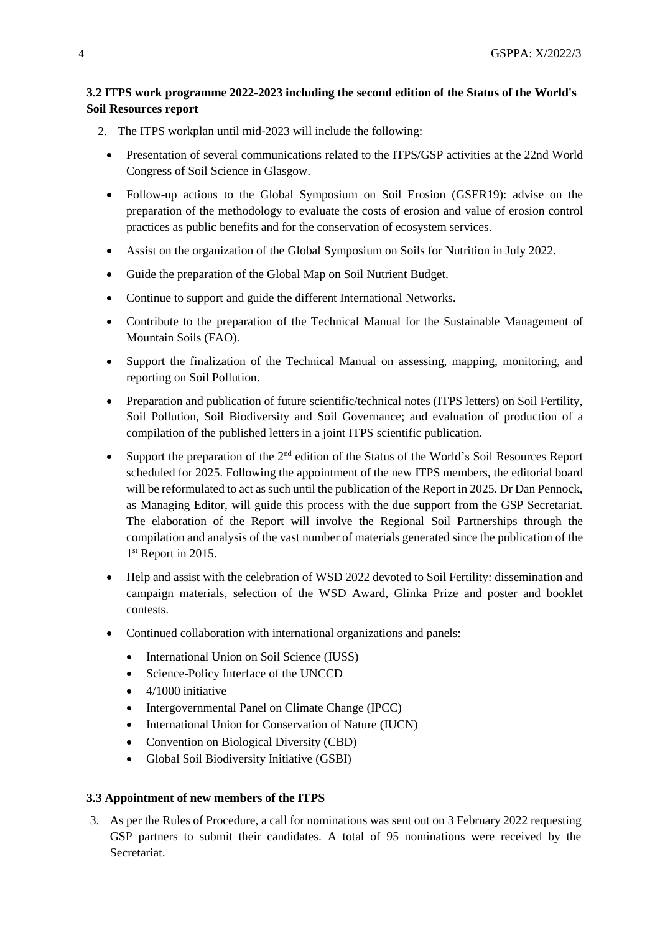### **3.2 ITPS work programme 2022-2023 including the second edition of the Status of the World's Soil Resources report**

- 2. The ITPS workplan until mid-2023 will include the following:
	- Presentation of several communications related to the ITPS/GSP activities at the 22nd World Congress of Soil Science in Glasgow.
	- Follow-up actions to the Global Symposium on Soil Erosion (GSER19): advise on the preparation of the methodology to evaluate the costs of erosion and value of erosion control practices as public benefits and for the conservation of ecosystem services.
	- Assist on the organization of the Global Symposium on Soils for Nutrition in July 2022.
	- Guide the preparation of the Global Map on Soil Nutrient Budget.
	- Continue to support and guide the different International Networks.
	- Contribute to the preparation of the Technical Manual for the Sustainable Management of Mountain Soils (FAO).
	- Support the finalization of the Technical Manual on assessing, mapping, monitoring, and reporting on Soil Pollution.
	- Preparation and publication of future scientific/technical notes (ITPS letters) on Soil Fertility, Soil Pollution, Soil Biodiversity and Soil Governance; and evaluation of production of a compilation of the published letters in a joint ITPS scientific publication.
	- Support the preparation of the 2<sup>nd</sup> edition of the Status of the World's Soil Resources Report scheduled for 2025. Following the appointment of the new ITPS members, the editorial board will be reformulated to act as such until the publication of the Report in 2025. Dr Dan Pennock, as Managing Editor, will guide this process with the due support from the GSP Secretariat. The elaboration of the Report will involve the Regional Soil Partnerships through the compilation and analysis of the vast number of materials generated since the publication of the 1<sup>st</sup> Report in 2015.
	- Help and assist with the celebration of WSD 2022 devoted to Soil Fertility: dissemination and campaign materials, selection of the WSD Award, Glinka Prize and poster and booklet contests.
	- Continued collaboration with international organizations and panels:
		- International Union on Soil Science (IUSS)
		- Science-Policy Interface of the UNCCD
		- $\bullet$  4/1000 initiative
		- Intergovernmental Panel on Climate Change (IPCC)
		- International Union for Conservation of Nature (IUCN)
		- Convention on Biological Diversity (CBD)
		- Global Soil Biodiversity Initiative (GSBI)

#### **3.3 Appointment of new members of the ITPS**

3. As per the Rules of Procedure, a call for nominations was sent out on 3 February 2022 requesting GSP partners to submit their candidates. A total of 95 nominations were received by the Secretariat.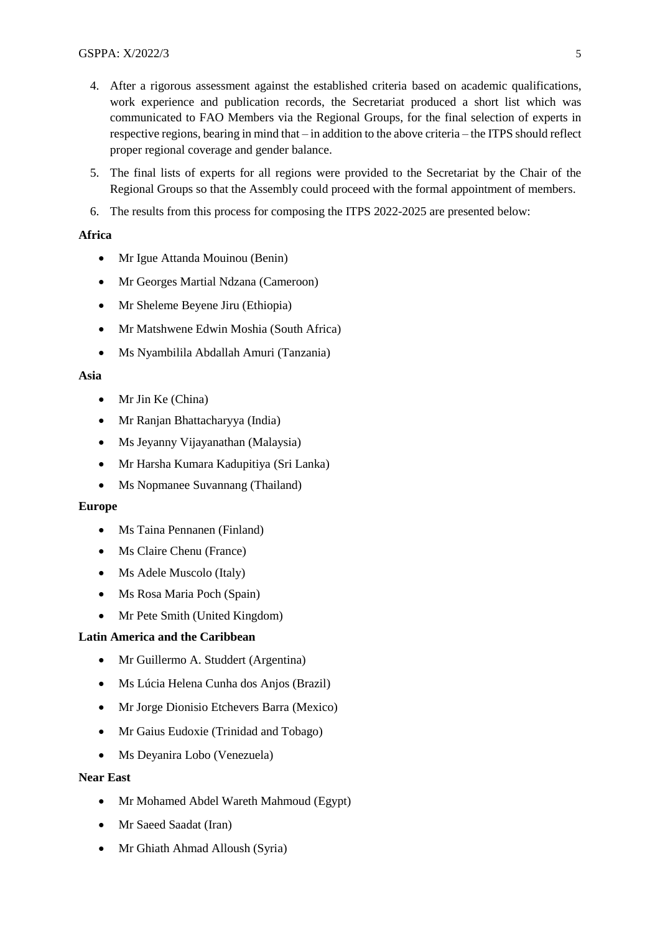- 4. After a rigorous assessment against the established criteria based on academic qualifications, work experience and publication records, the Secretariat produced a short list which was communicated to FAO Members via the Regional Groups, for the final selection of experts in respective regions, bearing in mind that – in addition to the above criteria – the ITPS should reflect proper regional coverage and gender balance.
- 5. The final lists of experts for all regions were provided to the Secretariat by the Chair of the Regional Groups so that the Assembly could proceed with the formal appointment of members.
- 6. The results from this process for composing the ITPS 2022-2025 are presented below:

#### **Africa**

- Mr Igue Attanda Mouinou (Benin)
- Mr Georges Martial Ndzana (Cameroon)
- Mr Sheleme Beyene Jiru (Ethiopia)
- Mr Matshwene Edwin Moshia (South Africa)
- Ms Nyambilila Abdallah Amuri (Tanzania)

#### **Asia**

- Mr Jin Ke (China)
- Mr Ranjan Bhattacharyya (India)
- Ms Jeyanny Vijayanathan (Malaysia)
- Mr Harsha Kumara Kadupitiya (Sri Lanka)
- Ms Nopmanee Suvannang (Thailand)

#### **Europe**

- Ms Taina Pennanen (Finland)
- Ms Claire Chenu (France)
- Ms Adele Muscolo (Italy)
- Ms Rosa Maria Poch (Spain)
- Mr Pete Smith (United Kingdom)

#### **Latin America and the Caribbean**

- Mr Guillermo A. Studdert (Argentina)
- Ms Lúcia Helena Cunha dos Anjos (Brazil)
- Mr Jorge Dionisio Etchevers Barra (Mexico)
- Mr Gaius Eudoxie (Trinidad and Tobago)
- Ms Deyanira Lobo (Venezuela)

#### **Near East**

- Mr Mohamed Abdel Wareth Mahmoud (Egypt)
- Mr Saeed Saadat (Iran)
- Mr Ghiath Ahmad Alloush (Syria)